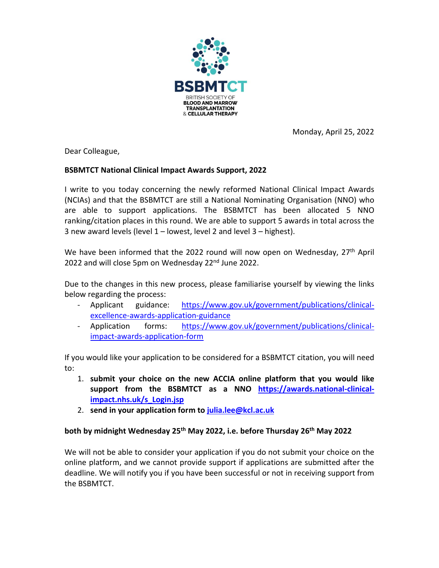

Monday, April 25, 2022

Dear Colleague,

## **BSBMTCT National Clinical Impact Awards Support, 2022**

I write to you today concerning the newly reformed National Clinical Impact Awards (NCIAs) and that the BSBMTCT are still a National Nominating Organisation (NNO) who are able to support applications. The BSBMTCT has been allocated 5 NNO ranking/citation places in this round. We are able to support 5 awards in total across the 3 new award levels (level 1 – lowest, level 2 and level 3 – highest).

We have been informed that the 2022 round will now open on Wednesday, 27<sup>th</sup> April 2022 and will close 5pm on Wednesday 22<sup>nd</sup> June 2022.

Due to the changes in this new process, please familiarise yourself by viewing the links below regarding the process:

- Applicant guidance: [https://www.gov.uk/government/publications/clinical](https://www.gov.uk/government/publications/clinical-excellence-awards-application-guidance)[excellence-awards-application-guidance](https://www.gov.uk/government/publications/clinical-excellence-awards-application-guidance)
- Application forms: [https://www.gov.uk/government/publications/clinical](https://www.gov.uk/government/publications/clinical-impact-awards-application-form)[impact-awards-application-form](https://www.gov.uk/government/publications/clinical-impact-awards-application-form)

If you would like your application to be considered for a BSBMTCT citation, you will need to:

- 1. **submit your choice on the new ACCIA online platform that you would like support from the BSBMTCT as a NNO [https://awards.national-clinical](https://awards.national-clinical-impact.nhs.uk/s_Login.jsp)[impact.nhs.uk/s\\_Login.jsp](https://awards.national-clinical-impact.nhs.uk/s_Login.jsp)**
- 2. **send in your application form t[o julia.lee@kcl.ac.uk](mailto:julia.lee@kcl.ac.uk)**

## **both by midnight Wednesday 25th May 2022, i.e. before Thursday 26th May 2022**

We will not be able to consider your application if you do not submit your choice on the online platform, and we cannot provide support if applications are submitted after the deadline. We will notify you if you have been successful or not in receiving support from the BSBMTCT.